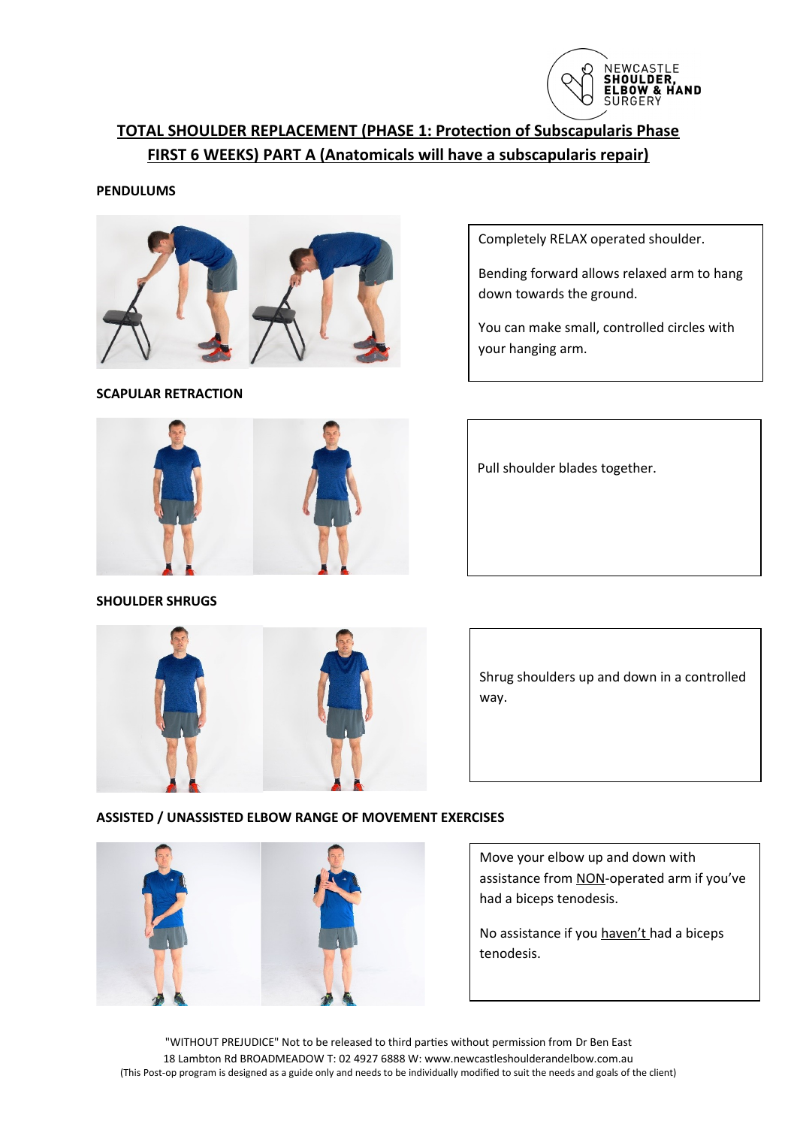

# **TOTAL SHOULDER REPLACEMENT (PHASE 1: Protection of Subscapularis Phase FIRST 6 WEEKS) PART A (Anatomicals will have a subscapularis repair)**

#### **PENDULUMS**



**SCAPULAR RETRACTION**

Completely RELAX operated shoulder.

Bending forward allows relaxed arm to hang down towards the ground.

You can make small, controlled circles with your hanging arm.

Pull shoulder blades together.





Shrug shoulders up and down in a controlled way.

### **ASSISTED / UNASSISTED ELBOW RANGE OF MOVEMENT EXERCISES**



Move your elbow up and down with assistance from NON-operated arm if you've had a biceps tenodesis.

No assistance if you haven't had a biceps tenodesis.

"WITHOUT PREJUDICE" Not to be released to third parties without permission from Dr Ben East 18 Lambton Rd BROADMEADOW T: 02 4927 6888 W: www.newcastleshoulderandelbow.com.au (This Post-op program is designed as a guide only and needs to be individually modified to suit the needs and goals of the client)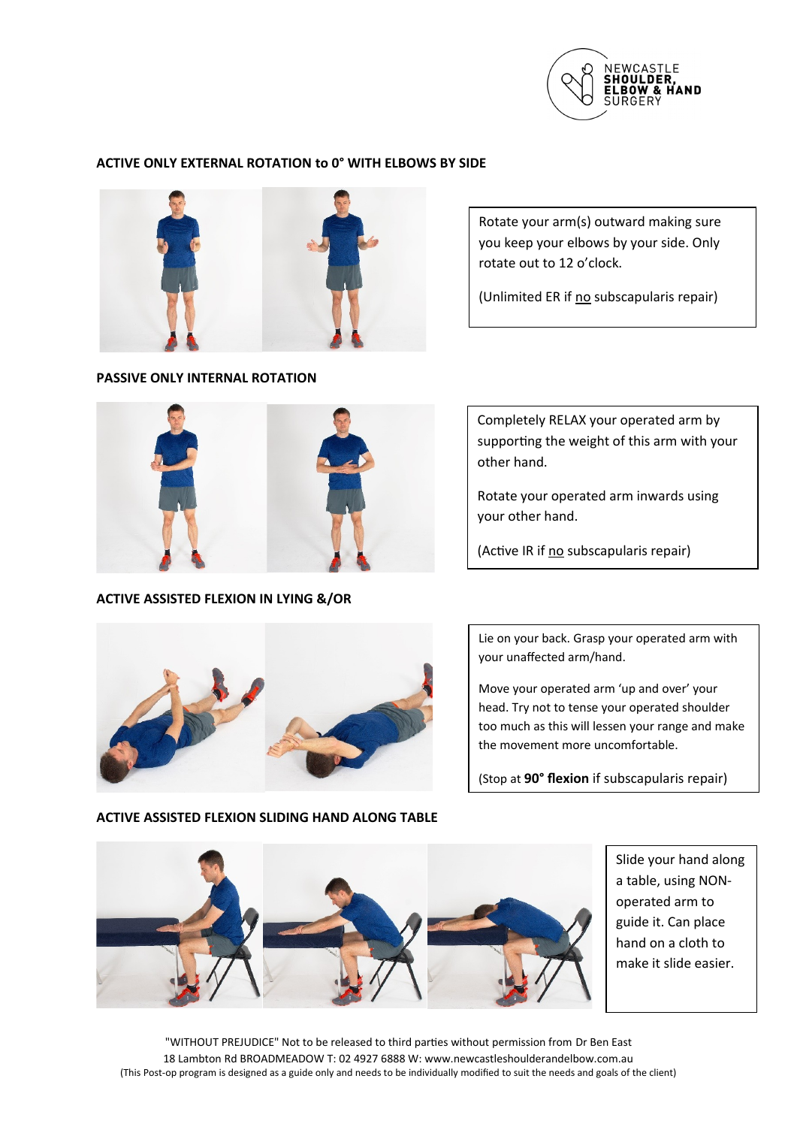

### **ACTIVE ONLY EXTERNAL ROTATION to 0° WITH ELBOWS BY SIDE**



**PASSIVE ONLY INTERNAL ROTATION** 

Rotate your arm(s) outward making sure you keep your elbows by your side. Only rotate out to 12 o'clock.

(Unlimited ER if no subscapularis repair)



**ACTIVE ASSISTED FLEXION IN LYING &/OR**

Completely RELAX your operated arm by supporting the weight of this arm with your other hand.

Rotate your operated arm inwards using your other hand.

(Active IR if no subscapularis repair)



Lie on your back. Grasp your operated arm with your unaffected arm/hand.

Move your operated arm 'up and over' your head. Try not to tense your operated shoulder too much as this will lessen your range and make the movement more uncomfortable.

(Stop at **90° flexion** if subscapularis repair)



Slide your hand along a table, using NONoperated arm to guide it. Can place hand on a cloth to make it slide easier.

"WITHOUT PREJUDICE" Not to be released to third parties without permission from Dr Ben East 18 Lambton Rd BROADMEADOW T: 02 4927 6888 W: www.newcastleshoulderandelbow.com.au (This Post-op program is designed as a guide only and needs to be individually modified to suit the needs and goals of the client)

## **ACTIVE ASSISTED FLEXION SLIDING HAND ALONG TABLE**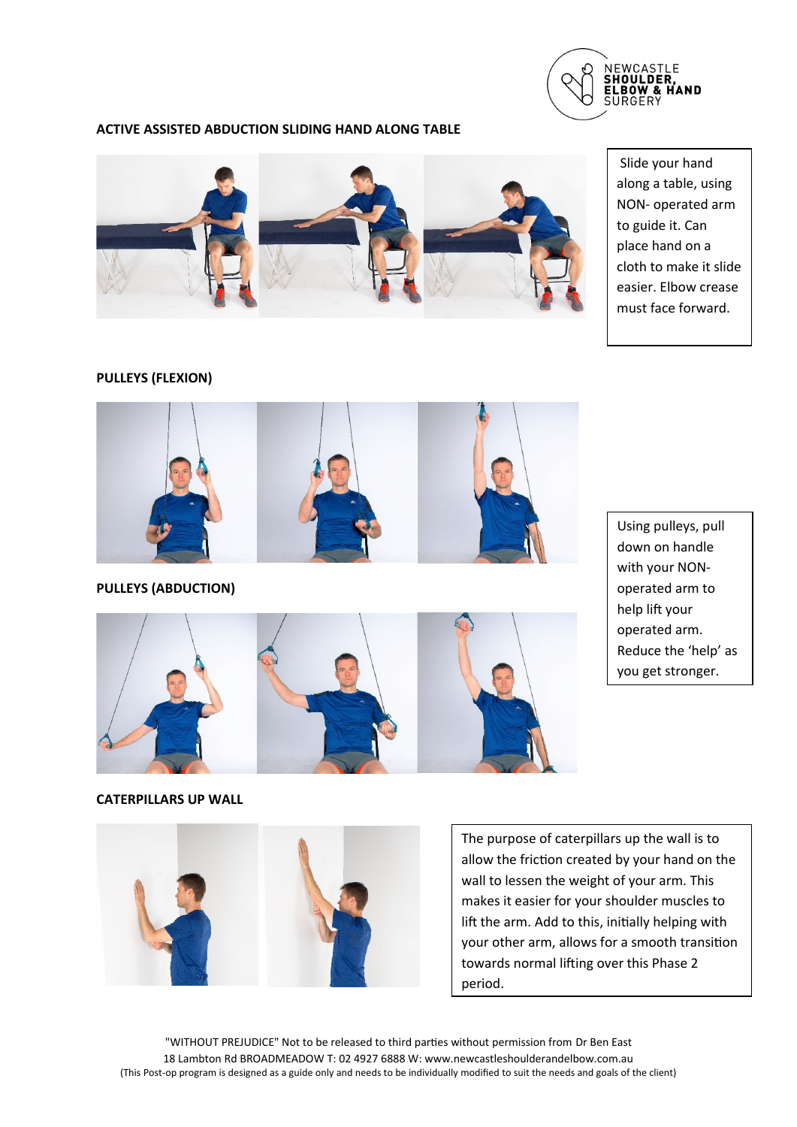

### **ACTIVE ASSISTED ABDUCTION SLIDING HAND ALONG TABLE**



 Slide your hand along a table, using NON- operated arm to guide it. Can place hand on a cloth to make it slide easier. Elbow crease must face forward.

## **PULLEYS (FLEXION)**



**PULLEYS (ABDUCTION)**



Using pulleys, pull down on handle with your NONoperated arm to help lift your operated arm. Reduce the 'help' as you get stronger.

**CATERPILLARS UP WALL** 



The purpose of caterpillars up the wall is to allow the friction created by your hand on the wall to lessen the weight of your arm. This makes it easier for your shoulder muscles to lift the arm. Add to this, initially helping with your other arm, allows for a smooth transition towards normal lifting over this Phase 2 period.

"WITHOUT PREJUDICE" Not to be released to third parties without permission from Dr Ben East 18 Lambton Rd BROADMEADOW T: 02 4927 6888 W: www.newcastleshoulderandelbow.com.au (This Post-op program is designed as a guide only and needs to be individually modified to suit the needs and goals of the client)